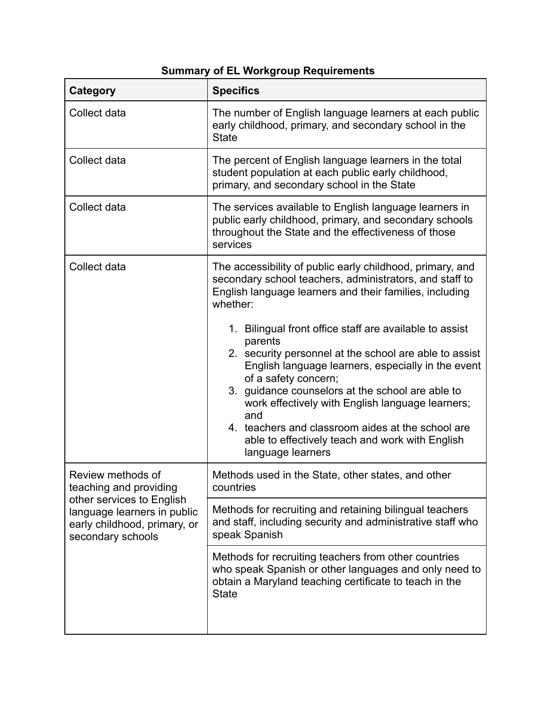## **Summary of EL Workgroup Requirements**

| Category                                                                                                                                                     | <b>Specifics</b>                                                                                                                                                                                                                                                                                                                                                                                                                                       |
|--------------------------------------------------------------------------------------------------------------------------------------------------------------|--------------------------------------------------------------------------------------------------------------------------------------------------------------------------------------------------------------------------------------------------------------------------------------------------------------------------------------------------------------------------------------------------------------------------------------------------------|
| Collect data                                                                                                                                                 | The number of English language learners at each public<br>early childhood, primary, and secondary school in the<br><b>State</b>                                                                                                                                                                                                                                                                                                                        |
| Collect data                                                                                                                                                 | The percent of English language learners in the total<br>student population at each public early childhood,<br>primary, and secondary school in the State                                                                                                                                                                                                                                                                                              |
| Collect data                                                                                                                                                 | The services available to English language learners in<br>public early childhood, primary, and secondary schools<br>throughout the State and the effectiveness of those<br>services                                                                                                                                                                                                                                                                    |
| Collect data                                                                                                                                                 | The accessibility of public early childhood, primary, and<br>secondary school teachers, administrators, and staff to<br>English language learners and their families, including<br>whether:                                                                                                                                                                                                                                                            |
|                                                                                                                                                              | 1. Bilingual front office staff are available to assist<br>parents<br>2. security personnel at the school are able to assist<br>English language learners, especially in the event<br>of a safety concern;<br>3. guidance counselors at the school are able to<br>work effectively with English language learners;<br>and<br>4. teachers and classroom aides at the school are<br>able to effectively teach and work with English<br>language learners |
| Review methods of<br>teaching and providing<br>other services to English<br>language learners in public<br>early childhood, primary, or<br>secondary schools | Methods used in the State, other states, and other<br>countries                                                                                                                                                                                                                                                                                                                                                                                        |
|                                                                                                                                                              | Methods for recruiting and retaining bilingual teachers<br>and staff, including security and administrative staff who<br>speak Spanish                                                                                                                                                                                                                                                                                                                 |
|                                                                                                                                                              | Methods for recruiting teachers from other countries<br>who speak Spanish or other languages and only need to<br>obtain a Maryland teaching certificate to teach in the<br><b>State</b>                                                                                                                                                                                                                                                                |